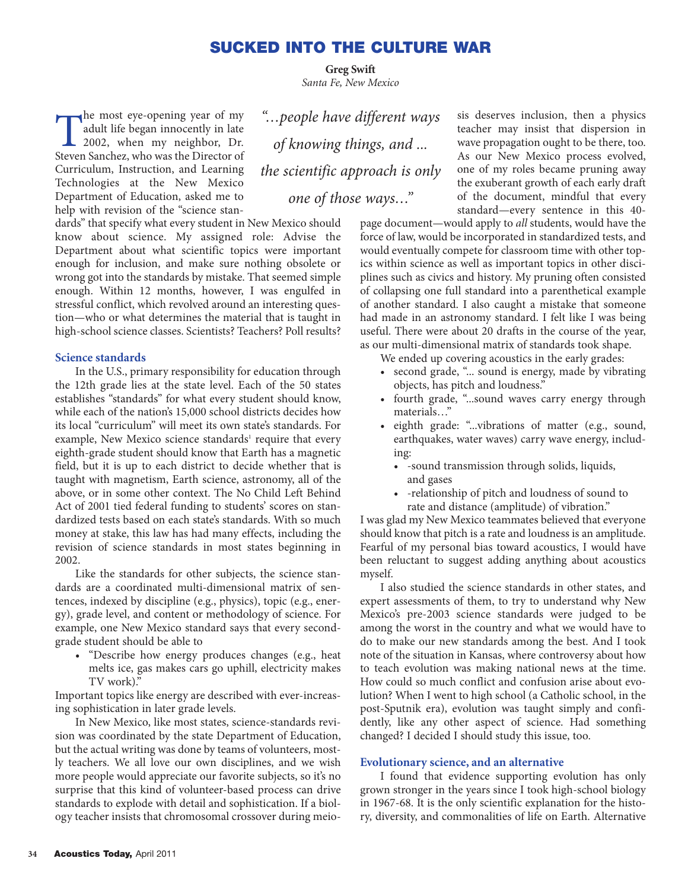# **SUCKED INTO THE CULTURE WAR**

**Greg Swift** *Santa Fe, New Mexico*

The most eye-opening year of my<br>adult life began innocently in late<br>2002, when my neighbor, Dr.<br>Steven Sanchez, who was the Director of adult life began innocently in late Steven Sanchez, who was the Director of Curriculum, Instruction, and Learning Technologies at the New Mexico Department of Education, asked me to help with revision of the "science stan-

dards" that specify what every student in New Mexico should know about science. My assigned role: Advise the Department about what scientific topics were important enough for inclusion, and make sure nothing obsolete or wrong got into the standards by mistake. That seemed simple enough. Within 12 months, however, I was engulfed in stressful conflict, which revolved around an interesting question—who or what determines the material that is taught in high-school science classes. Scientists? Teachers? Poll results?

#### **Science standards**

In the U.S., primary responsibility for education through the 12th grade lies at the state level. Each of the 50 states establishes "standards" for what every student should know, while each of the nation's 15,000 school districts decides how its local "curriculum" will meet its own state's standards. For example, New Mexico science standards<sup>1</sup> require that every eighth-grade student should know that Earth has a magnetic field, but it is up to each district to decide whether that is taught with magnetism, Earth science, astronomy, all of the above, or in some other context. The No Child Left Behind Act of 2001 tied federal funding to students' scores on standardized tests based on each state's standards. With so much money at stake, this law has had many effects, including the revision of science standards in most states beginning in 2002.

Like the standards for other subjects, the science standards are a coordinated multi-dimensional matrix of sentences, indexed by discipline (e.g., physics), topic (e.g., energy), grade level, and content or methodology of science. For example, one New Mexico standard says that every secondgrade student should be able to

• "Describe how energy produces changes (e.g., heat melts ice, gas makes cars go uphill, electricity makes TV work).

Important topics like energy are described with ever-increasing sophistication in later grade levels.

In New Mexico, like most states, science-standards revision was coordinated by the state Department of Education, but the actual writing was done by teams of volunteers, mostly teachers. We all love our own disciplines, and we wish more people would appreciate our favorite subjects, so it's no surprise that this kind of volunteer-based process can drive standards to explode with detail and sophistication. If a biology teacher insists that chromosomal crossover during meio-

*"…people have different ways of knowing things, and ... the scientific approach is only one of those ways…"*

sis deserves inclusion, then a physics teacher may insist that dispersion in wave propagation ought to be there, too. As our New Mexico process evolved, one of my roles became pruning away the exuberant growth of each early draft of the document, mindful that every standard—every sentence in this 40-

page document—would apply to *all* students, would have the force of law, would be incorporated in standardized tests, and would eventually compete for classroom time with other topics within science as well as important topics in other disciplines such as civics and history. My pruning often consisted of collapsing one full standard into a parenthetical example of another standard. I also caught a mistake that someone had made in an astronomy standard. I felt like I was being useful. There were about 20 drafts in the course of the year, as our multi-dimensional matrix of standards took shape.

We ended up covering acoustics in the early grades:

- second grade, "... sound is energy, made by vibrating objects, has pitch and loudness."
- fourth grade, "...sound waves carry energy through materials…"
- eighth grade: "...vibrations of matter (e.g., sound, earthquakes, water waves) carry wave energy, including:
	- -sound transmission through solids, liquids, and gases
	- -relationship of pitch and loudness of sound to rate and distance (amplitude) of vibration."

I was glad my New Mexico teammates believed that everyone should know that pitch is a rate and loudness is an amplitude. Fearful of my personal bias toward acoustics, I would have been reluctant to suggest adding anything about acoustics myself.

I also studied the science standards in other states, and expert assessments of them, to try to understand why New Mexico's pre-2003 science standards were judged to be among the worst in the country and what we would have to do to make our new standards among the best. And I took note of the situation in Kansas, where controversy about how to teach evolution was making national news at the time. How could so much conflict and confusion arise about evolution? When I went to high school (a Catholic school, in the post-Sputnik era), evolution was taught simply and confidently, like any other aspect of science. Had something changed? I decided I should study this issue, too.

#### **Evolutionary science, and an alternative**

I found that evidence supporting evolution has only grown stronger in the years since I took high-school biology in 1967-68. It is the only scientific explanation for the history, diversity, and commonalities of life on Earth. Alternative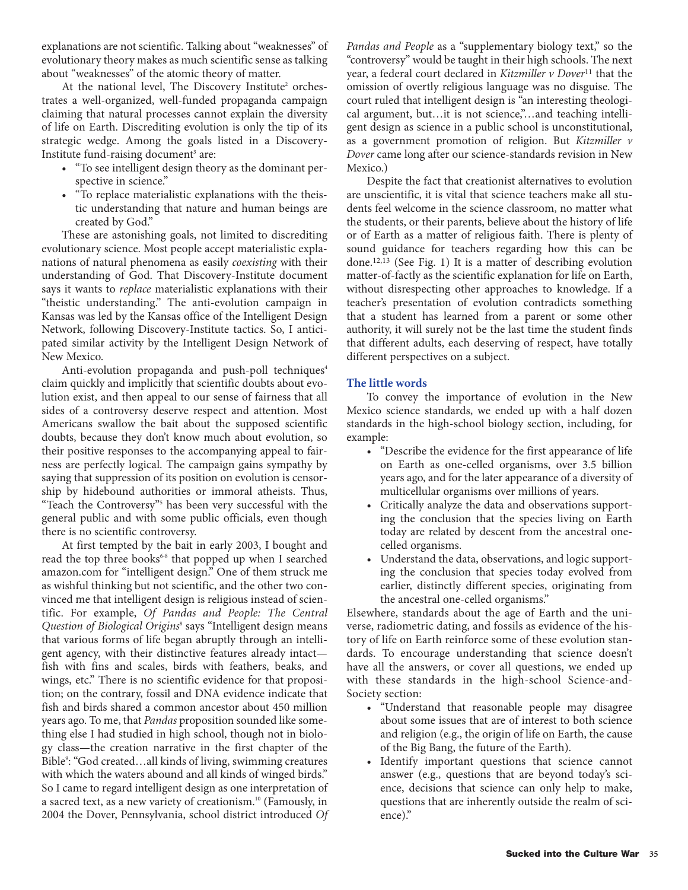explanations are not scientific. Talking about "weaknesses" of evolutionary theory makes as much scientific sense as talking about "weaknesses" of the atomic theory of matter.

At the national level, The Discovery Institute<sup>2</sup> orchestrates a well-organized, well-funded propaganda campaign claiming that natural processes cannot explain the diversity of life on Earth. Discrediting evolution is only the tip of its strategic wedge. Among the goals listed in a Discovery-Institute fund-raising document<sup>3</sup> are:

- "To see intelligent design theory as the dominant perspective in science."
- "To replace materialistic explanations with the theistic understanding that nature and human beings are created by God."

These are astonishing goals, not limited to discrediting evolutionary science. Most people accept materialistic explanations of natural phenomena as easily *coexisting* with their understanding of God. That Discovery-Institute document says it wants to *replace* materialistic explanations with their "theistic understanding." The anti-evolution campaign in Kansas was led by the Kansas office of the Intelligent Design Network, following Discovery-Institute tactics. So, I anticipated similar activity by the Intelligent Design Network of New Mexico.

Anti-evolution propaganda and push-poll techniques<sup>4</sup> claim quickly and implicitly that scientific doubts about evolution exist, and then appeal to our sense of fairness that all sides of a controversy deserve respect and attention. Most Americans swallow the bait about the supposed scientific doubts, because they don't know much about evolution, so their positive responses to the accompanying appeal to fairness are perfectly logical. The campaign gains sympathy by saying that suppression of its position on evolution is censorship by hidebound authorities or immoral atheists. Thus, "Teach the Controversy"5 has been very successful with the general public and with some public officials, even though there is no scientific controversy.

At first tempted by the bait in early 2003, I bought and read the top three books<sup>6-8</sup> that popped up when I searched amazon.com for "intelligent design." One of them struck me as wishful thinking but not scientific, and the other two convinced me that intelligent design is religious instead of scientific. For example, *Of Pandas and People: The Central Question of Biological Origins*<sup>8</sup> says "Intelligent design means that various forms of life began abruptly through an intelligent agency, with their distinctive features already intact fish with fins and scales, birds with feathers, beaks, and wings, etc." There is no scientific evidence for that proposition; on the contrary, fossil and DNA evidence indicate that fish and birds shared a common ancestor about 450 million years ago. To me, that *Pandas* proposition sounded like something else I had studied in high school, though not in biology class—the creation narrative in the first chapter of the Bible<sup>9</sup>: "God created...all kinds of living, swimming creatures with which the waters abound and all kinds of winged birds." So I came to regard intelligent design as one interpretation of a sacred text, as a new variety of creationism.10 (Famously, in 2004 the Dover, Pennsylvania, school district introduced *Of* *Pandas and People* as a "supplementary biology text," so the "controversy" would be taught in their high schools. The next year, a federal court declared in *Kitzmiller v Dover*<sup>11</sup> that the omission of overtly religious language was no disguise. The court ruled that intelligent design is "an interesting theological argument, but...it is not science,"...and teaching intelligent design as science in a public school is unconstitutional, as a government promotion of religion. But *Kitzmiller v Dover* came long after our science-standards revision in New Mexico.)

Despite the fact that creationist alternatives to evolution are unscientific, it is vital that science teachers make all students feel welcome in the science classroom, no matter what the students, or their parents, believe about the history of life or of Earth as a matter of religious faith. There is plenty of sound guidance for teachers regarding how this can be done.12,13 (See Fig. 1) It is a matter of describing evolution matter-of-factly as the scientific explanation for life on Earth, without disrespecting other approaches to knowledge. If a teacher's presentation of evolution contradicts something that a student has learned from a parent or some other authority, it will surely not be the last time the student finds that different adults, each deserving of respect, have totally different perspectives on a subject.

# **The little words**

To convey the importance of evolution in the New Mexico science standards, we ended up with a half dozen standards in the high-school biology section, including, for example:

- "Describe the evidence for the first appearance of life on Earth as one-celled organisms, over 3.5 billion years ago, and for the later appearance of a diversity of multicellular organisms over millions of years.
- Critically analyze the data and observations supporting the conclusion that the species living on Earth today are related by descent from the ancestral onecelled organisms.
- Understand the data, observations, and logic supporting the conclusion that species today evolved from earlier, distinctly different species, originating from the ancestral one-celled organisms."

Elsewhere, standards about the age of Earth and the universe, radiometric dating, and fossils as evidence of the history of life on Earth reinforce some of these evolution standards. To encourage understanding that science doesn't have all the answers, or cover all questions, we ended up with these standards in the high-school Science-and-Society section:

- "Understand that reasonable people may disagree about some issues that are of interest to both science and religion (e.g., the origin of life on Earth, the cause of the Big Bang, the future of the Earth).
- Identify important questions that science cannot answer (e.g., questions that are beyond today's science, decisions that science can only help to make, questions that are inherently outside the realm of science)."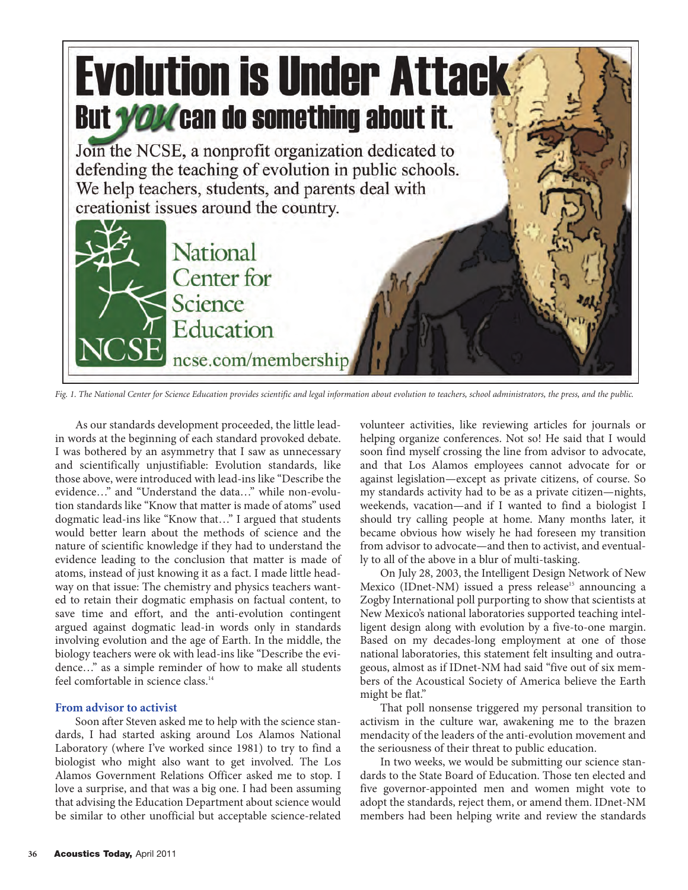

*Fig. 1. The National Center for Science Education provides scientific and legal information about evolution to teachers, school administrators, the press, and the public.*

As our standards development proceeded, the little leadin words at the beginning of each standard provoked debate. I was bothered by an asymmetry that I saw as unnecessary and scientifically unjustifiable: Evolution standards, like those above, were introduced with lead-ins like "Describe the evidence…" and "Understand the data…" while non-evolution standards like "Know that matter is made of atoms" used dogmatic lead-ins like "Know that…" I argued that students would better learn about the methods of science and the nature of scientific knowledge if they had to understand the evidence leading to the conclusion that matter is made of atoms, instead of just knowing it as a fact. I made little headway on that issue: The chemistry and physics teachers wanted to retain their dogmatic emphasis on factual content, to save time and effort, and the anti-evolution contingent argued against dogmatic lead-in words only in standards involving evolution and the age of Earth. In the middle, the biology teachers were ok with lead-ins like "Describe the evidence…" as a simple reminder of how to make all students feel comfortable in science class.<sup>14</sup>

## **From advisor to activist**

Soon after Steven asked me to help with the science standards, I had started asking around Los Alamos National Laboratory (where I've worked since 1981) to try to find a biologist who might also want to get involved. The Los Alamos Government Relations Officer asked me to stop. I love a surprise, and that was a big one. I had been assuming that advising the Education Department about science would be similar to other unofficial but acceptable science-related

volunteer activities, like reviewing articles for journals or helping organize conferences. Not so! He said that I would soon find myself crossing the line from advisor to advocate, and that Los Alamos employees cannot advocate for or against legislation—except as private citizens, of course. So my standards activity had to be as a private citizen—nights, weekends, vacation—and if I wanted to find a biologist I should try calling people at home. Many months later, it became obvious how wisely he had foreseen my transition from advisor to advocate—and then to activist, and eventually to all of the above in a blur of multi-tasking.

On July 28, 2003, the Intelligent Design Network of New Mexico (IDnet-NM) issued a press release<sup>15</sup> announcing a Zogby International poll purporting to show that scientists at New Mexico's national laboratories supported teaching intelligent design along with evolution by a five-to-one margin. Based on my decades-long employment at one of those national laboratories, this statement felt insulting and outrageous, almost as if IDnet-NM had said "five out of six members of the Acoustical Society of America believe the Earth might be flat."

That poll nonsense triggered my personal transition to activism in the culture war, awakening me to the brazen mendacity of the leaders of the anti-evolution movement and the seriousness of their threat to public education.

In two weeks, we would be submitting our science standards to the State Board of Education. Those ten elected and five governor-appointed men and women might vote to adopt the standards, reject them, or amend them. IDnet-NM members had been helping write and review the standards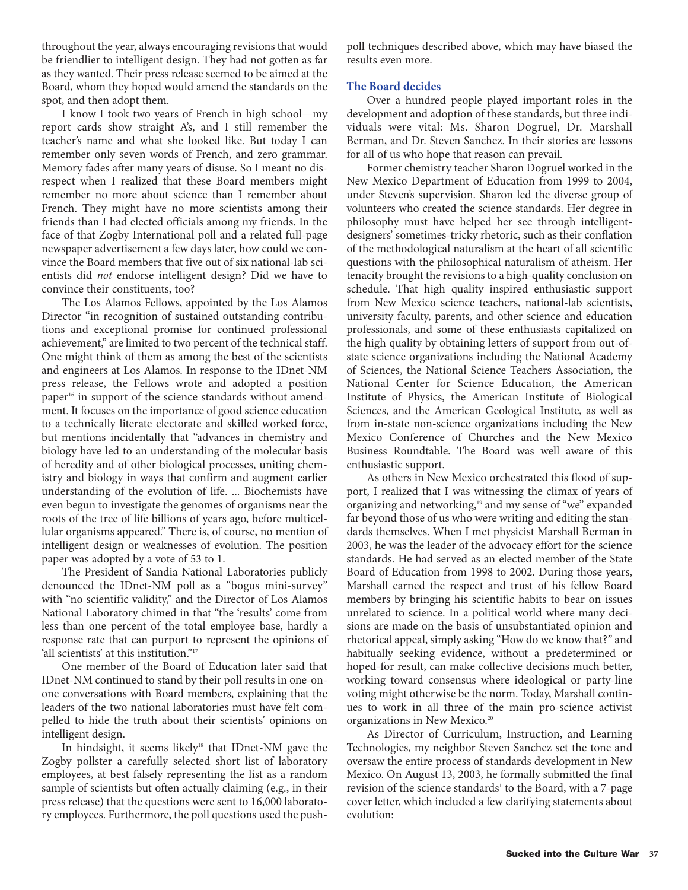throughout the year, always encouraging revisions that would be friendlier to intelligent design. They had not gotten as far as they wanted. Their press release seemed to be aimed at the Board, whom they hoped would amend the standards on the spot, and then adopt them.

I know I took two years of French in high school—my report cards show straight A's, and I still remember the teacher's name and what she looked like. But today I can remember only seven words of French, and zero grammar. Memory fades after many years of disuse. So I meant no disrespect when I realized that these Board members might remember no more about science than I remember about French. They might have no more scientists among their friends than I had elected officials among my friends. In the face of that Zogby International poll and a related full-page newspaper advertisement a few days later, how could we convince the Board members that five out of six national-lab scientists did *not* endorse intelligent design? Did we have to convince their constituents, too?

The Los Alamos Fellows, appointed by the Los Alamos Director "in recognition of sustained outstanding contributions and exceptional promise for continued professional achievement," are limited to two percent of the technical staff. One might think of them as among the best of the scientists and engineers at Los Alamos. In response to the IDnet-NM press release, the Fellows wrote and adopted a position paper<sup>16</sup> in support of the science standards without amendment. It focuses on the importance of good science education to a technically literate electorate and skilled worked force, but mentions incidentally that "advances in chemistry and biology have led to an understanding of the molecular basis of heredity and of other biological processes, uniting chemistry and biology in ways that confirm and augment earlier understanding of the evolution of life. ... Biochemists have even begun to investigate the genomes of organisms near the roots of the tree of life billions of years ago, before multicellular organisms appeared." There is, of course, no mention of intelligent design or weaknesses of evolution. The position paper was adopted by a vote of 53 to 1.

The President of Sandia National Laboratories publicly denounced the IDnet-NM poll as a "bogus mini-survey" with "no scientific validity," and the Director of Los Alamos National Laboratory chimed in that "the 'results' come from less than one percent of the total employee base, hardly a response rate that can purport to represent the opinions of 'all scientists' at this institution."<sup>17</sup>

One member of the Board of Education later said that IDnet-NM continued to stand by their poll results in one-onone conversations with Board members, explaining that the leaders of the two national laboratories must have felt compelled to hide the truth about their scientists' opinions on intelligent design.

In hindsight, it seems likely<sup>18</sup> that IDnet-NM gave the Zogby pollster a carefully selected short list of laboratory employees, at best falsely representing the list as a random sample of scientists but often actually claiming (e.g., in their press release) that the questions were sent to 16,000 laboratory employees. Furthermore, the poll questions used the pushpoll techniques described above, which may have biased the results even more.

## **The Board decides**

Over a hundred people played important roles in the development and adoption of these standards, but three individuals were vital: Ms. Sharon Dogruel, Dr. Marshall Berman, and Dr. Steven Sanchez. In their stories are lessons for all of us who hope that reason can prevail.

Former chemistry teacher Sharon Dogruel worked in the New Mexico Department of Education from 1999 to 2004, under Steven's supervision. Sharon led the diverse group of volunteers who created the science standards. Her degree in philosophy must have helped her see through intelligentdesigners' sometimes-tricky rhetoric, such as their conflation of the methodological naturalism at the heart of all scientific questions with the philosophical naturalism of atheism. Her tenacity brought the revisions to a high-quality conclusion on schedule. That high quality inspired enthusiastic support from New Mexico science teachers, national-lab scientists, university faculty, parents, and other science and education professionals, and some of these enthusiasts capitalized on the high quality by obtaining letters of support from out-ofstate science organizations including the National Academy of Sciences, the National Science Teachers Association, the National Center for Science Education, the American Institute of Physics, the American Institute of Biological Sciences, and the American Geological Institute, as well as from in-state non-science organizations including the New Mexico Conference of Churches and the New Mexico Business Roundtable. The Board was well aware of this enthusiastic support.

As others in New Mexico orchestrated this flood of support, I realized that I was witnessing the climax of years of organizing and networking,<sup>19</sup> and my sense of "we" expanded far beyond those of us who were writing and editing the standards themselves. When I met physicist Marshall Berman in 2003, he was the leader of the advocacy effort for the science standards. He had served as an elected member of the State Board of Education from 1998 to 2002. During those years, Marshall earned the respect and trust of his fellow Board members by bringing his scientific habits to bear on issues unrelated to science. In a political world where many decisions are made on the basis of unsubstantiated opinion and rhetorical appeal, simply asking "How do we know that?" and habitually seeking evidence, without a predetermined or hoped-for result, can make collective decisions much better, working toward consensus where ideological or party-line voting might otherwise be the norm. Today, Marshall continues to work in all three of the main pro-science activist organizations in New Mexico.<sup>20</sup>

As Director of Curriculum, Instruction, and Learning Technologies, my neighbor Steven Sanchez set the tone and oversaw the entire process of standards development in New Mexico. On August 13, 2003, he formally submitted the final revision of the science standards<sup>1</sup> to the Board, with a 7-page cover letter, which included a few clarifying statements about evolution: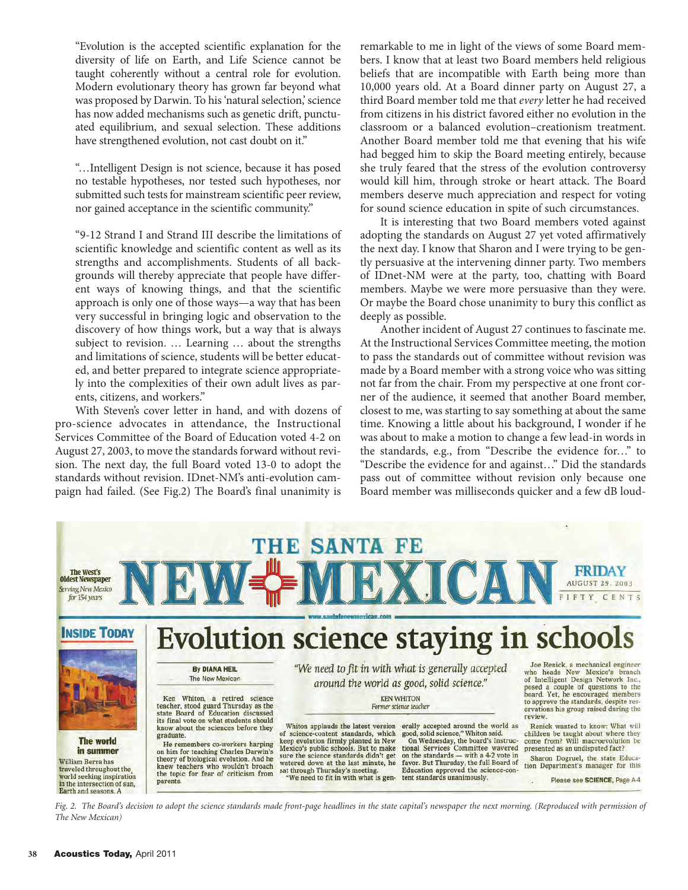"Evolution is the accepted scientific explanation for the diversity of life on Earth, and Life Science cannot be taught coherently without a central role for evolution. Modern evolutionary theory has grown far beyond what was proposed by Darwin. To his 'natural selection,' science has now added mechanisms such as genetic drift, punctuated equilibrium, and sexual selection. These additions have strengthened evolution, not cast doubt on it."

"…Intelligent Design is not science, because it has posed no testable hypotheses, nor tested such hypotheses, nor submitted such tests for mainstream scientific peer review, nor gained acceptance in the scientific community."

"9-12 Strand I and Strand III describe the limitations of scientific knowledge and scientific content as well as its strengths and accomplishments. Students of all backgrounds will thereby appreciate that people have different ways of knowing things, and that the scientific approach is only one of those ways—a way that has been very successful in bringing logic and observation to the discovery of how things work, but a way that is always subject to revision. … Learning … about the strengths and limitations of science, students will be better educated, and better prepared to integrate science appropriately into the complexities of their own adult lives as parents, citizens, and workers."

With Steven's cover letter in hand, and with dozens of pro-science advocates in attendance, the Instructional Services Committee of the Board of Education voted 4-2 on August 27, 2003, to move the standards forward without revision. The next day, the full Board voted 13-0 to adopt the standards without revision. IDnet-NM's anti-evolution campaign had failed. (See Fig.2) The Board's final unanimity is

remarkable to me in light of the views of some Board members. I know that at least two Board members held religious beliefs that are incompatible with Earth being more than 10,000 years old. At a Board dinner party on August 27, a third Board member told me that *every* letter he had received from citizens in his district favored either no evolution in the classroom or a balanced evolution–creationism treatment. Another Board member told me that evening that his wife had begged him to skip the Board meeting entirely, because she truly feared that the stress of the evolution controversy would kill him, through stroke or heart attack. The Board members deserve much appreciation and respect for voting for sound science education in spite of such circumstances.

It is interesting that two Board members voted against adopting the standards on August 27 yet voted affirmatively the next day. I know that Sharon and I were trying to be gently persuasive at the intervening dinner party. Two members of IDnet-NM were at the party, too, chatting with Board members. Maybe we were more persuasive than they were. Or maybe the Board chose unanimity to bury this conflict as deeply as possible.

Another incident of August 27 continues to fascinate me. At the Instructional Services Committee meeting, the motion to pass the standards out of committee without revision was made by a Board member with a strong voice who was sitting not far from the chair. From my perspective at one front corner of the audience, it seemed that another Board member, closest to me, was starting to say something at about the same time. Knowing a little about his background, I wonder if he was about to make a motion to change a few lead-in words in the standards, e.g., from "Describe the evidence for…" to "Describe the evidence for and against…" Did the standards pass out of committee without revision only because one Board member was milliseconds quicker and a few dB loud-



*Fig. 2. The Board's decision to adopt the science standards made front-page headlines in the state capital's newspaper the next morning. (Reproduced with permission of The New Mexican)*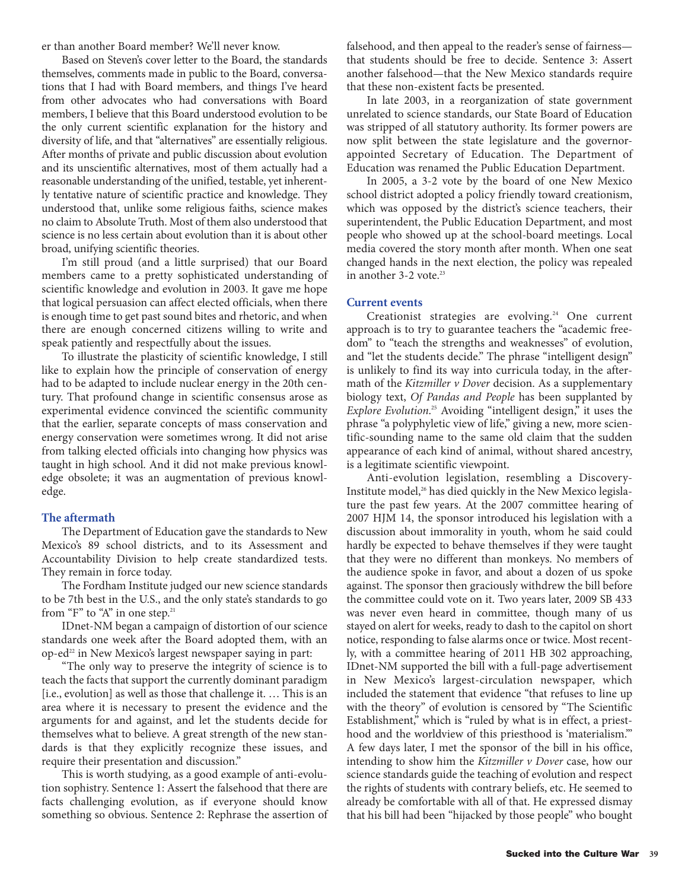er than another Board member? We'll never know.

Based on Steven's cover letter to the Board, the standards themselves, comments made in public to the Board, conversations that I had with Board members, and things I've heard from other advocates who had conversations with Board members, I believe that this Board understood evolution to be the only current scientific explanation for the history and diversity of life, and that "alternatives" are essentially religious. After months of private and public discussion about evolution and its unscientific alternatives, most of them actually had a reasonable understanding of the unified, testable, yet inherently tentative nature of scientific practice and knowledge. They understood that, unlike some religious faiths, science makes no claim to Absolute Truth. Most of them also understood that science is no less certain about evolution than it is about other broad, unifying scientific theories.

I'm still proud (and a little surprised) that our Board members came to a pretty sophisticated understanding of scientific knowledge and evolution in 2003. It gave me hope that logical persuasion can affect elected officials, when there is enough time to get past sound bites and rhetoric, and when there are enough concerned citizens willing to write and speak patiently and respectfully about the issues.

To illustrate the plasticity of scientific knowledge, I still like to explain how the principle of conservation of energy had to be adapted to include nuclear energy in the 20th century. That profound change in scientific consensus arose as experimental evidence convinced the scientific community that the earlier, separate concepts of mass conservation and energy conservation were sometimes wrong. It did not arise from talking elected officials into changing how physics was taught in high school. And it did not make previous knowledge obsolete; it was an augmentation of previous knowledge.

## **The aftermath**

The Department of Education gave the standards to New Mexico's 89 school districts, and to its Assessment and Accountability Division to help create standardized tests. They remain in force today.

The Fordham Institute judged our new science standards to be 7th best in the U.S., and the only state's standards to go from "F" to "A" in one step. $21$ 

IDnet-NM began a campaign of distortion of our science standards one week after the Board adopted them, with an op-ed<sup>22</sup> in New Mexico's largest newspaper saying in part:

"The only way to preserve the integrity of science is to teach the facts that support the currently dominant paradigm [i.e., evolution] as well as those that challenge it. … This is an area where it is necessary to present the evidence and the arguments for and against, and let the students decide for themselves what to believe. A great strength of the new standards is that they explicitly recognize these issues, and require their presentation and discussion."

This is worth studying, as a good example of anti-evolution sophistry. Sentence 1: Assert the falsehood that there are facts challenging evolution, as if everyone should know something so obvious. Sentence 2: Rephrase the assertion of falsehood, and then appeal to the reader's sense of fairness that students should be free to decide. Sentence 3: Assert another falsehood—that the New Mexico standards require that these non-existent facts be presented.

In late 2003, in a reorganization of state government unrelated to science standards, our State Board of Education was stripped of all statutory authority. Its former powers are now split between the state legislature and the governorappointed Secretary of Education. The Department of Education was renamed the Public Education Department.

In 2005, a 3-2 vote by the board of one New Mexico school district adopted a policy friendly toward creationism, which was opposed by the district's science teachers, their superintendent, the Public Education Department, and most people who showed up at the school-board meetings. Local media covered the story month after month. When one seat changed hands in the next election, the policy was repealed in another  $3-2$  vote.<sup>23</sup>

#### **Current events**

Creationist strategies are evolving.<sup>24</sup> One current approach is to try to guarantee teachers the "academic freedom" to "teach the strengths and weaknesses" of evolution, and "let the students decide." The phrase "intelligent design" is unlikely to find its way into curricula today, in the aftermath of the *Kitzmiller v Dover* decision. As a supplementary biology text, *Of Pandas and People* has been supplanted by *Explore Evolution*.<sup>25</sup> Avoiding "intelligent design," it uses the phrase "a polyphyletic view of life," giving a new, more scientific-sounding name to the same old claim that the sudden appearance of each kind of animal, without shared ancestry, is a legitimate scientific viewpoint.

Anti-evolution legislation, resembling a Discovery-Institute model,<sup>26</sup> has died quickly in the New Mexico legislature the past few years. At the 2007 committee hearing of 2007 HJM 14, the sponsor introduced his legislation with a discussion about immorality in youth, whom he said could hardly be expected to behave themselves if they were taught that they were no different than monkeys. No members of the audience spoke in favor, and about a dozen of us spoke against. The sponsor then graciously withdrew the bill before the committee could vote on it. Two years later, 2009 SB 433 was never even heard in committee, though many of us stayed on alert for weeks, ready to dash to the capitol on short notice, responding to false alarms once or twice. Most recently, with a committee hearing of 2011 HB 302 approaching, IDnet-NM supported the bill with a full-page advertisement in New Mexico's largest-circulation newspaper, which included the statement that evidence "that refuses to line up with the theory" of evolution is censored by "The Scientific Establishment," which is "ruled by what is in effect, a priesthood and the worldview of this priesthood is 'materialism.'" A few days later, I met the sponsor of the bill in his office, intending to show him the *Kitzmiller v Dover* case, how our science standards guide the teaching of evolution and respect the rights of students with contrary beliefs, etc. He seemed to already be comfortable with all of that. He expressed dismay that his bill had been "hijacked by those people" who bought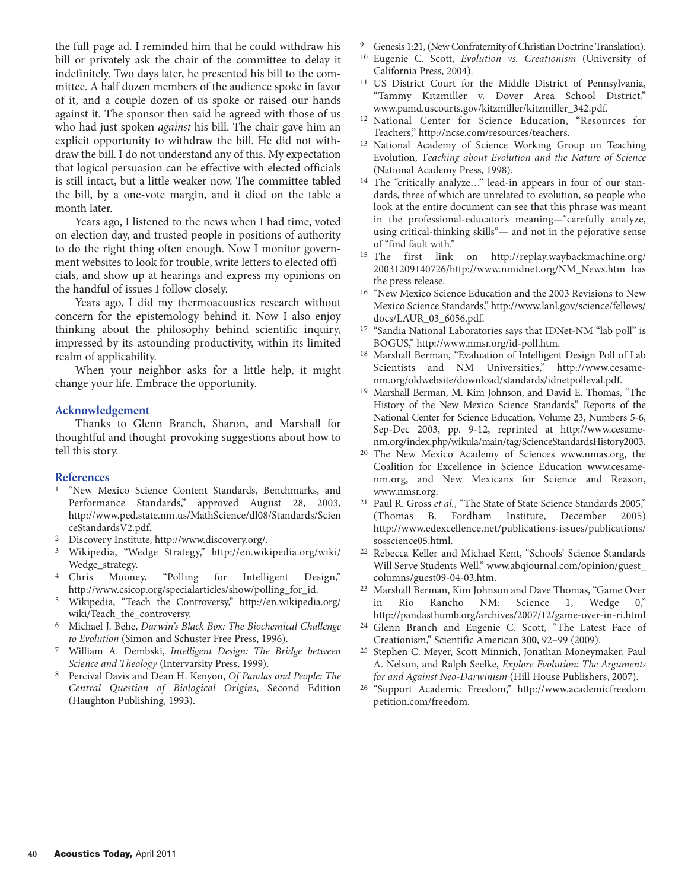the full-page ad. I reminded him that he could withdraw his bill or privately ask the chair of the committee to delay it indefinitely. Two days later, he presented his bill to the committee. A half dozen members of the audience spoke in favor of it, and a couple dozen of us spoke or raised our hands against it. The sponsor then said he agreed with those of us who had just spoken *against* his bill. The chair gave him an explicit opportunity to withdraw the bill. He did not withdraw the bill. I do not understand any of this. My expectation that logical persuasion can be effective with elected officials is still intact, but a little weaker now. The committee tabled the bill, by a one-vote margin, and it died on the table a month later.

Years ago, I listened to the news when I had time, voted on election day, and trusted people in positions of authority to do the right thing often enough. Now I monitor government websites to look for trouble, write letters to elected officials, and show up at hearings and express my opinions on the handful of issues I follow closely.

Years ago, I did my thermoacoustics research without concern for the epistemology behind it. Now I also enjoy thinking about the philosophy behind scientific inquiry, impressed by its astounding productivity, within its limited realm of applicability.

When your neighbor asks for a little help, it might change your life. Embrace the opportunity.

## **Acknowledgement**

Thanks to Glenn Branch, Sharon, and Marshall for thoughtful and thought-provoking suggestions about how to tell this story.

## **References**

- 1 "New Mexico Science Content Standards, Benchmarks, and Performance Standards," approved August 28, 2003, http://www.ped.state.nm.us/MathScience/dl08/Standards/Scien ceStandardsV2.pdf.
- 2 Discovery Institute, http://www.discovery.org/.
- 3 Wikipedia, "Wedge Strategy," http://en.wikipedia.org/wiki/ Wedge\_strategy.
- 4 Chris Mooney, "Polling for Intelligent Design," http://www.csicop.org/specialarticles/show/polling\_for\_id.
- 5 Wikipedia, "Teach the Controversy," http://en.wikipedia.org/ wiki/Teach\_the\_controversy.
- 6 Michael J. Behe, *Darwin's Black Box: The Biochemical Challenge to Evolution* (Simon and Schuster Free Press, 1996).
- 7 William A. Dembski, *Intelligent Design: The Bridge between Science and Theology* (Intervarsity Press, 1999).
- 8 Percival Davis and Dean H. Kenyon, *Of Pandas and People: The Central Question of Biological Origins*, Second Edition (Haughton Publishing, 1993).
- 9 Genesis 1:21, (New Confraternity of Christian Doctrine Translation).
- 10 Eugenie C. Scott, *Evolution vs. Creationism* (University of California Press, 2004).
- 11 US District Court for the Middle District of Pennsylvania, "Tammy Kitzmiller v. Dover Area School District," www.pamd.uscourts.gov/kitzmiller/kitzmiller\_342.pdf.
- National Center for Science Education, "Resources for Teachers," http://ncse.com/resources/teachers.
- 13 National Academy of Science Working Group on Teaching Evolution, T*eaching about Evolution and the Nature of Science* (National Academy Press, 1998).
- 14 The "critically analyze…" lead-in appears in four of our standards, three of which are unrelated to evolution, so people who look at the entire document can see that this phrase was meant in the professional-educator's meaning—"carefully analyze, using critical-thinking skills"— and not in the pejorative sense of "find fault with."
- 15 The first link on http://replay.waybackmachine.org/ 20031209140726/http://www.nmidnet.org/NM\_News.htm has the press release.
- 16 "New Mexico Science Education and the 2003 Revisions to New Mexico Science Standards," http://www.lanl.gov/science/fellows/ docs/LAUR\_03\_6056.pdf.
- 17 "Sandia National Laboratories says that IDNet-NM "lab poll" is BOGUS," http://www.nmsr.org/id-poll.htm.
- 18 Marshall Berman, "Evaluation of Intelligent Design Poll of Lab Scientists and NM Universities," http://www.cesamenm.org/oldwebsite/download/standards/idnetpolleval.pdf.
- 19 Marshall Berman, M. Kim Johnson, and David E. Thomas, "The History of the New Mexico Science Standards," Reports of the National Center for Science Education, Volume 23, Numbers 5-6, Sep-Dec 2003, pp. 9-12, reprinted at http://www.cesamenm.org/index.php/wikula/main/tag/ScienceStandardsHistory2003.
- 20 The New Mexico Academy of Sciences www.nmas.org, the Coalition for Excellence in Science Education www.cesamenm.org, and New Mexicans for Science and Reason, www.nmsr.org.
- <sup>21</sup> Paul R. Gross *et al.*, "The State of State Science Standards 2005," (Thomas B. Fordham Institute, December 2005) http://www.edexcellence.net/publications-issues/publications/ sosscience05.html.
- 22 Rebecca Keller and Michael Kent, "Schools' Science Standards Will Serve Students Well," www.abqjournal.com/opinion/guest\_ columns/guest09-04-03.htm.
- 23 Marshall Berman, Kim Johnson and Dave Thomas, "Game Over in Rio Rancho NM: Science 1, Wedge 0," http://pandasthumb.org/archives/2007/12/game-over-in-ri.html
- 24 Glenn Branch and Eugenie C. Scott, "The Latest Face of Creationism," Scientific American **300**, 92–99 (2009).
- 25 Stephen C. Meyer, Scott Minnich, Jonathan Moneymaker, Paul A. Nelson, and Ralph Seelke, *Explore Evolution: The Arguments for and Against Neo-Darwinism* (Hill House Publishers, 2007).
- 26 "Support Academic Freedom," http://www.academicfreedom petition.com/freedom.